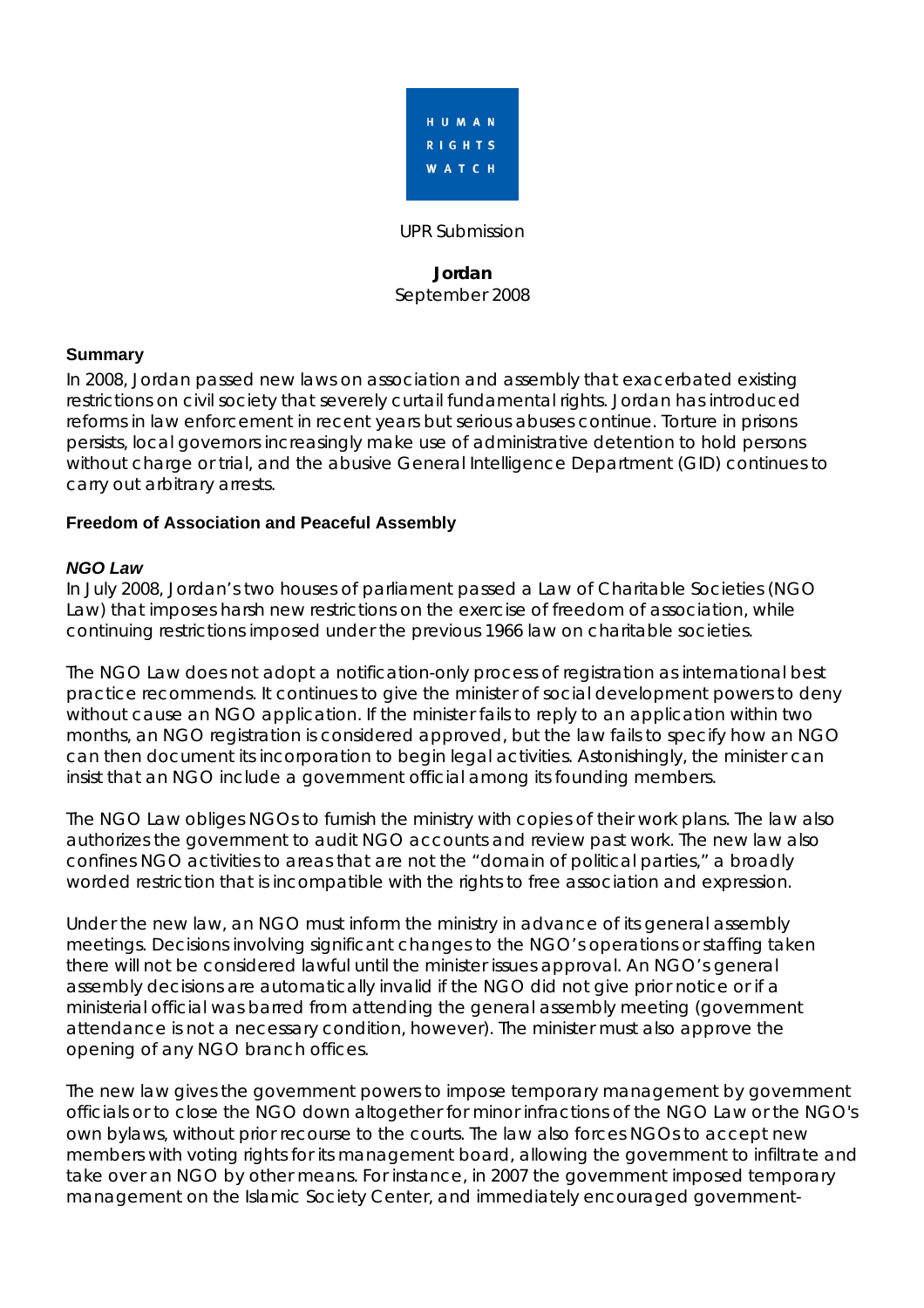

UPR Submission

#### **Jordan**  September 2008

#### **Summary**

In 2008, Jordan passed new laws on association and assembly that exacerbated existing restrictions on civil society that severely curtail fundamental rights. Jordan has introduced reforms in law enforcement in recent years but serious abuses continue. Torture in prisons persists, local governors increasingly make use of administrative detention to hold persons without charge or trial, and the abusive General Intelligence Department (GID) continues to carry out arbitrary arrests.

### **Freedom of Association and Peaceful Assembly**

#### *NGO Law*

In July 2008, Jordan's two houses of parliament passed a Law of Charitable Societies (NGO Law) that imposes harsh new restrictions on the exercise of freedom of association, while continuing restrictions imposed under the previous 1966 law on charitable societies.

The NGO Law does not adopt a notification-only process of registration as international best practice recommends. It continues to give the minister of social development powers to deny without cause an NGO application. If the minister fails to reply to an application within two months, an NGO registration is considered approved, but the law fails to specify how an NGO can then document its incorporation to begin legal activities. Astonishingly, the minister can insist that an NGO include a government official among its founding members.

The NGO Law obliges NGOs to furnish the ministry with copies of their work plans. The law also authorizes the government to audit NGO accounts and review past work. The new law also confines NGO activities to areas that are not the "domain of political parties," a broadly worded restriction that is incompatible with the rights to free association and expression.

Under the new law, an NGO must inform the ministry in advance of its general assembly meetings. Decisions involving significant changes to the NGO's operations or staffing taken there will not be considered lawful until the minister issues approval. An NGO's general assembly decisions are automatically invalid if the NGO did not give prior notice or if a ministerial official was barred from attending the general assembly meeting (government attendance is not a necessary condition, however). The minister must also approve the opening of any NGO branch offices.

The new law gives the government powers to impose temporary management by government officials or to close the NGO down altogether for minor infractions of the NGO Law or the NGO's own bylaws, without prior recourse to the courts. The law also forces NGOs to accept new members with voting rights for its management board, allowing the government to infiltrate and take over an NGO by other means. For instance, in 2007 the government imposed temporary management on the Islamic Society Center, and immediately encouraged government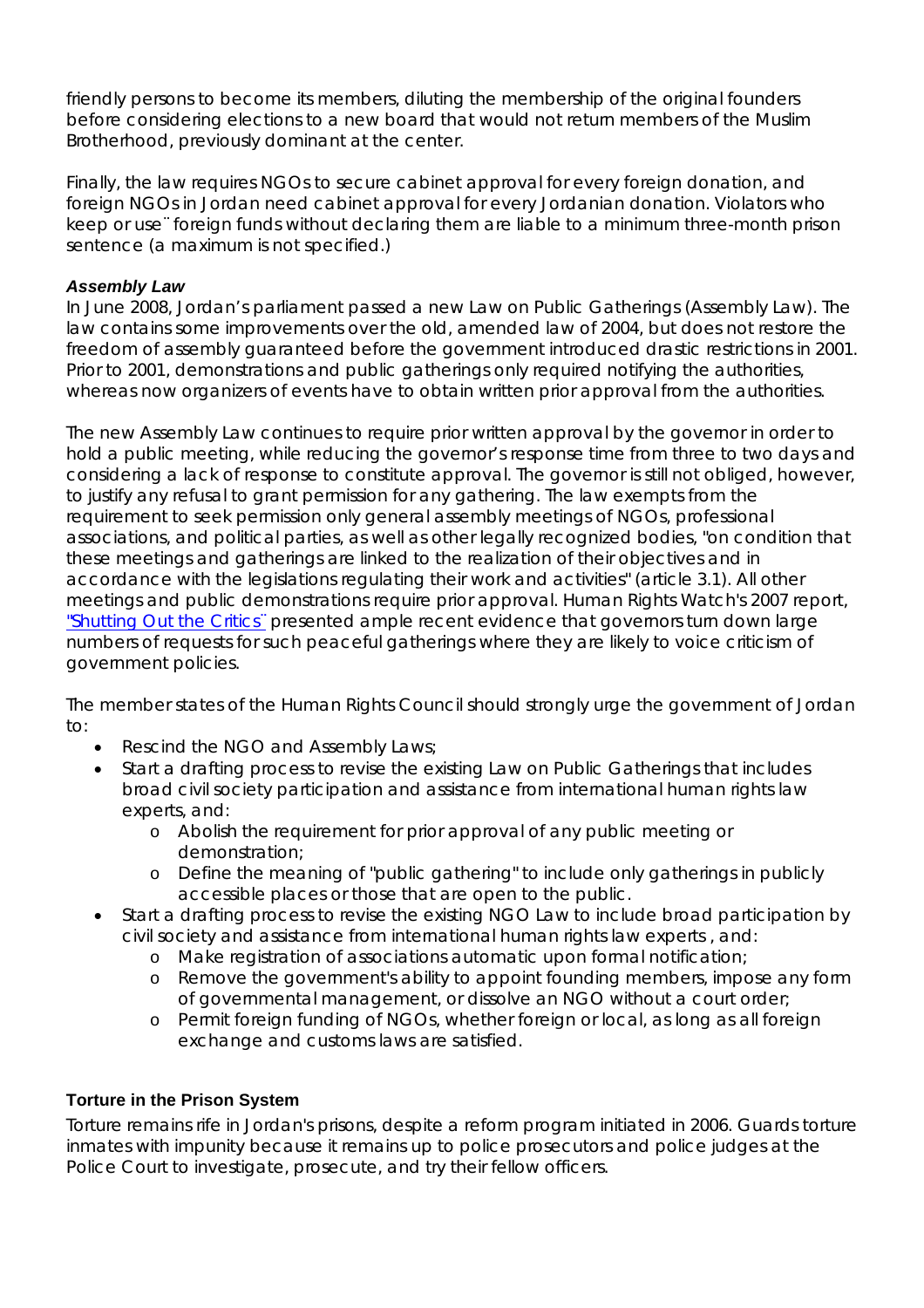friendly persons to become its members, diluting the membership of the original founders before considering elections to a new board that would not return members of the Muslim Brotherhood, previously dominant at the center.

Finally, the law requires NGOs to secure cabinet approval for every foreign donation, and foreign NGOs in Jordan need cabinet approval for every Jordanian donation. Violators who keep or use¨ foreign funds without declaring them are liable to a minimum three-month prison sentence (a maximum is not specified.)

## *Assembly Law*

In June 2008, Jordan's parliament passed a new Law on Public Gatherings (Assembly Law). The law contains some improvements over the old, amended law of 2004, but does not restore the freedom of assembly guaranteed before the government introduced drastic restrictions in 2001. Prior to 2001, demonstrations and public gatherings only required notifying the authorities, whereas now organizers of events have to obtain written prior approval from the authorities.

The new Assembly Law continues to require prior written approval by the governor in order to hold a public meeting, while reducing the governor's response time from three to two days and considering a lack of response to constitute approval. The governor is still not obliged, however, to justify any refusal to grant permission for any gathering. The law exempts from the requirement to seek permission only general assembly meetings of NGOs, professional associations, and political parties, as well as other legally recognized bodies, "on condition that these meetings and gatherings are linked to the realization of their objectives and in accordance with the legislations regulating their work and activities" (article 3.1). All other meetings and public demonstrations require prior approval. Human Rights Watch's 2007 report, "Shutting Out the Critics¨ presented ample recent evidence that governors turn down large numbers of requests for such peaceful gatherings where they are likely to voice criticism of government policies.

The member states of the Human Rights Council should strongly urge the government of Jordan to:

- Rescind the NGO and Assembly Laws;
- Start a drafting process to revise the existing Law on Public Gatherings that includes broad civil society participation and assistance from international human rights law experts, and:
	- o Abolish the requirement for prior approval of any public meeting or demonstration;
	- o Define the meaning of "public gathering" to include only gatherings in publicly accessible places or those that are open to the public.
- Start a drafting process to revise the existing NGO Law to include broad participation by civil society and assistance from international human rights law experts , and:
	- o Make registration of associations automatic upon formal notification;
	- o Remove the government's ability to appoint founding members, impose any form of governmental management, or dissolve an NGO without a court order;
	- o Permit foreign funding of NGOs, whether foreign or local, as long as all foreign exchange and customs laws are satisfied.

## **Torture in the Prison System**

Torture remains rife in Jordan's prisons, despite a reform program initiated in 2006. Guards torture inmates with impunity because it remains up to police prosecutors and police judges at the Police Court to investigate, prosecute, and try their fellow officers.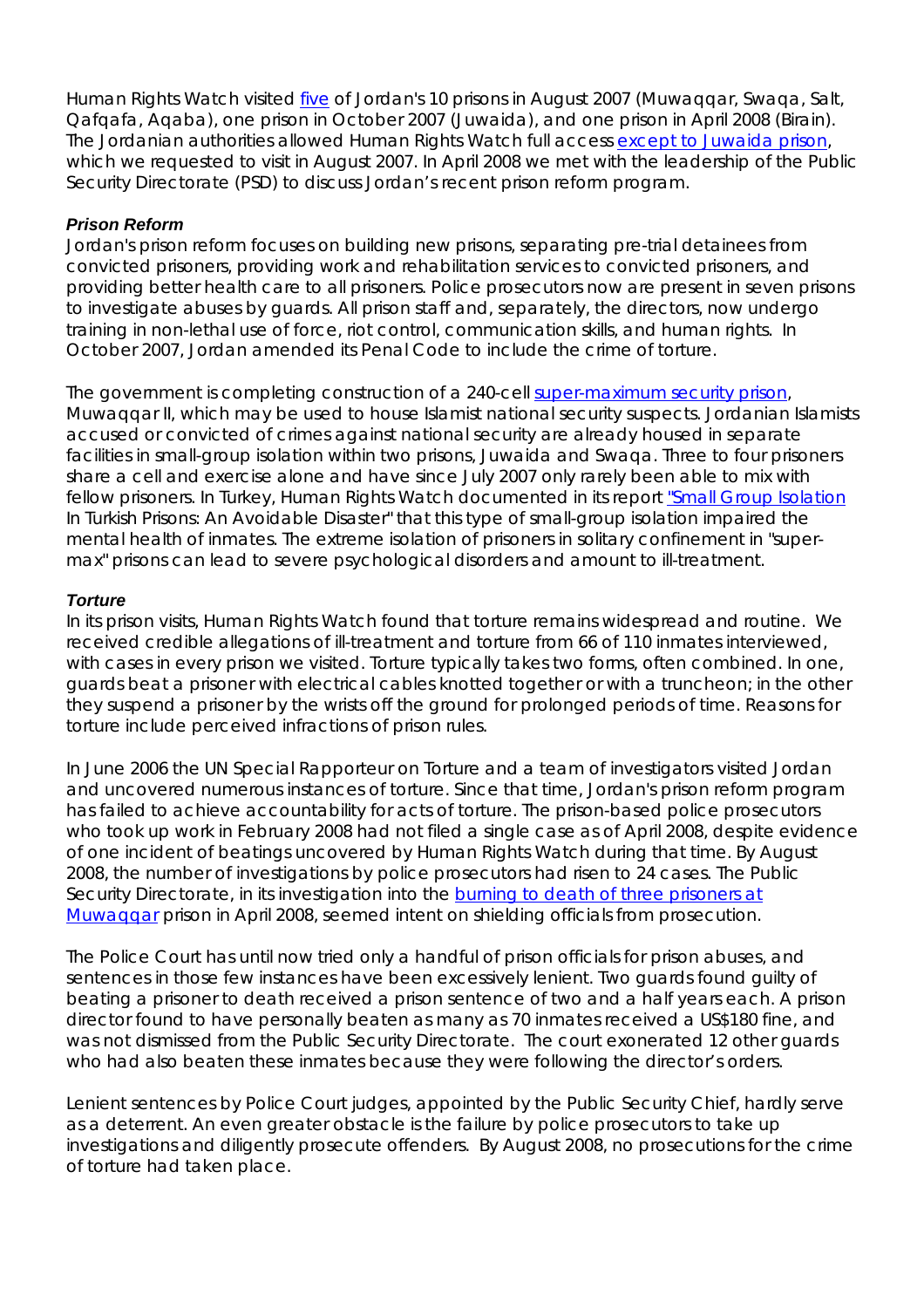Human Rights Watch visited five of Jordan's 10 prisons in August 2007 (Muwaqqar, Swaqa, Salt, Qafqafa, Aqaba), one prison in October 2007 (Juwaida), and one prison in April 2008 (Birain). The Jordanian authorities allowed Human Rights Watch full access except to Juwaida prison, which we requested to visit in August 2007. In April 2008 we met with the leadership of the Public Security Directorate (PSD) to discuss Jordan's recent prison reform program.

## *Prison Reform*

Jordan's prison reform focuses on building new prisons, separating pre-trial detainees from convicted prisoners, providing work and rehabilitation services to convicted prisoners, and providing better health care to all prisoners. Police prosecutors now are present in seven prisons to investigate abuses by guards. All prison staff and, separately, the directors, now undergo training in non-lethal use of force, riot control, communication skills, and human rights. In October 2007, Jordan amended its Penal Code to include the crime of torture.

The government is completing construction of a 240-cell super-maximum security prison, Muwaqqar II, which may be used to house Islamist national security suspects. Jordanian Islamists accused or convicted of crimes against national security are already housed in separate facilities in small-group isolation within two prisons, Juwaida and Swaqa. Three to four prisoners share a cell and exercise alone and have since July 2007 only rarely been able to mix with fellow prisoners. In Turkey, Human Rights Watch documented in its report "Small Group Isolation In Turkish Prisons: An Avoidable Disaster" that this type of small-group isolation impaired the mental health of inmates. The extreme isolation of prisoners in solitary confinement in "supermax" prisons can lead to severe psychological disorders and amount to ill-treatment.

### *Torture*

In its prison visits, Human Rights Watch found that torture remains widespread and routine. We received credible allegations of ill-treatment and torture from 66 of 110 inmates interviewed, with cases in every prison we visited. Torture typically takes two forms, often combined. In one, guards beat a prisoner with electrical cables knotted together or with a truncheon; in the other they suspend a prisoner by the wrists off the ground for prolonged periods of time. Reasons for torture include perceived infractions of prison rules.

In June 2006 the UN Special Rapporteur on Torture and a team of investigators visited Jordan and uncovered numerous instances of torture. Since that time, Jordan's prison reform program has failed to achieve accountability for acts of torture. The prison-based police prosecutors who took up work in February 2008 had not filed a single case as of April 2008, despite evidence of one incident of beatings uncovered by Human Rights Watch during that time. By August 2008, the number of investigations by police prosecutors had risen to 24 cases. The Public Security Directorate, in its investigation into the burning to death of three prisoners at Muwaqqar prison in April 2008, seemed intent on shielding officials from prosecution.

The Police Court has until now tried only a handful of prison officials for prison abuses, and sentences in those few instances have been excessively lenient. Two guards found guilty of beating a prisoner to death received a prison sentence of two and a half years each. A prison director found to have personally beaten as many as 70 inmates received a US\$180 fine, and was not dismissed from the Public Security Directorate. The court exonerated 12 other guards who had also beaten these inmates because they were following the director's orders.

Lenient sentences by Police Court judges, appointed by the Public Security Chief, hardly serve as a deterrent. An even greater obstacle is the failure by police prosecutors to take up investigations and diligently prosecute offenders. By August 2008, no prosecutions for the crime of torture had taken place.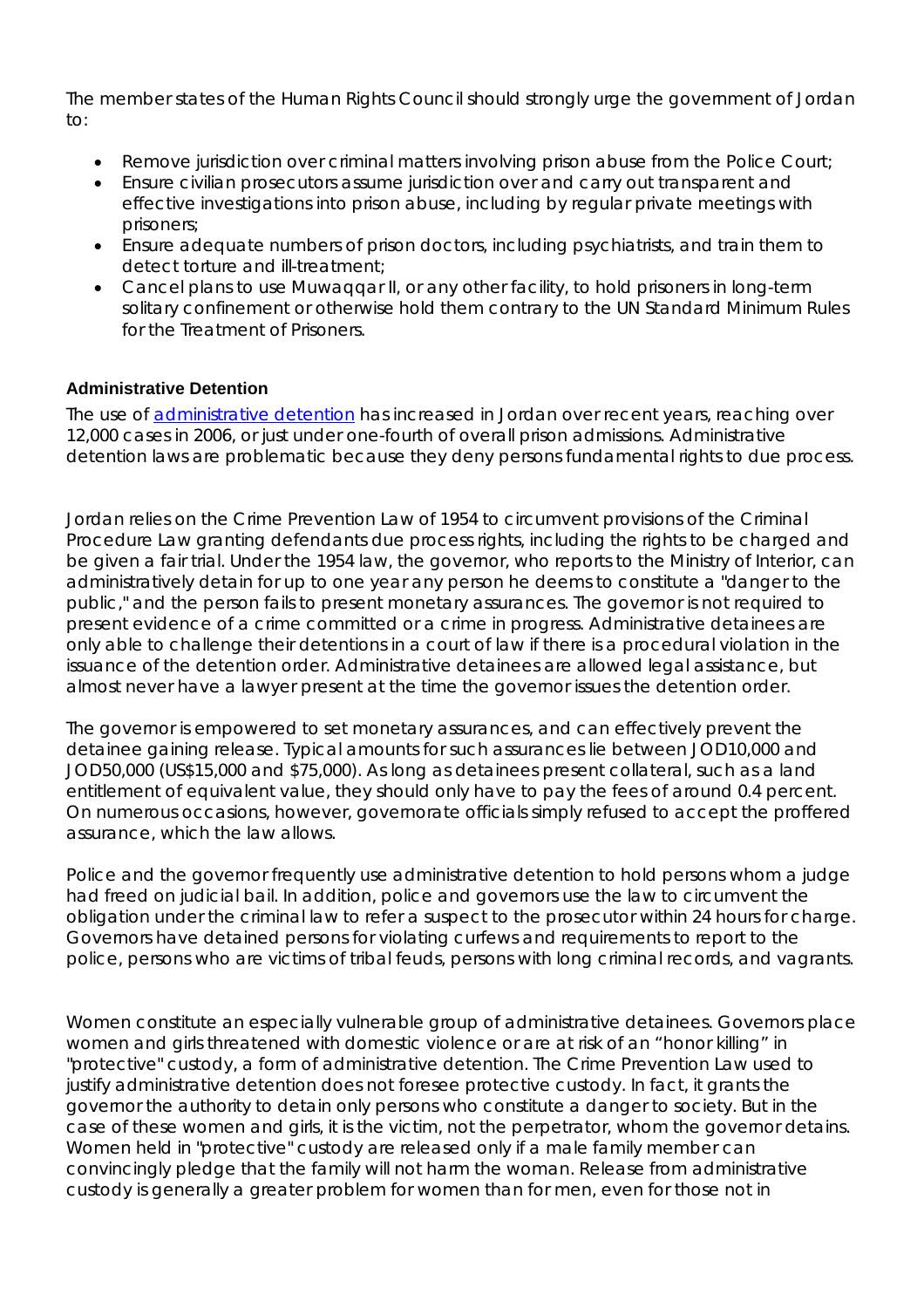The member states of the Human Rights Council should strongly urge the government of Jordan to:

- Remove jurisdiction over criminal matters involving prison abuse from the Police Court;
- Ensure civilian prosecutors assume jurisdiction over and carry out transparent and effective investigations into prison abuse, including by regular private meetings with prisoners;
- Ensure adequate numbers of prison doctors, including psychiatrists, and train them to detect torture and ill-treatment;
- Cancel plans to use Muwaqqar II, or any other facility, to hold prisoners in long-term solitary confinement or otherwise hold them contrary to the UN Standard Minimum Rules for the Treatment of Prisoners.

## **Administrative Detention**

The use of administrative detention has increased in Jordan over recent years, reaching over 12,000 cases in 2006, or just under one-fourth of overall prison admissions. Administrative detention laws are problematic because they deny persons fundamental rights to due process.

Jordan relies on the Crime Prevention Law of 1954 to circumvent provisions of the Criminal Procedure Law granting defendants due process rights, including the rights to be charged and be given a fair trial. Under the 1954 law, the governor, who reports to the Ministry of Interior, can administratively detain for up to one year any person he deems to constitute a "danger to the public," and the person fails to present monetary assurances. The governor is not required to present evidence of a crime committed or a crime in progress. Administrative detainees are only able to challenge their detentions in a court of law if there is a procedural violation in the issuance of the detention order. Administrative detainees are allowed legal assistance, but almost never have a lawyer present at the time the governor issues the detention order.

The governor is empowered to set monetary assurances, and can effectively prevent the detainee gaining release. Typical amounts for such assurances lie between JOD10,000 and JOD50,000 (US\$15,000 and \$75,000). As long as detainees present collateral, such as a land entitlement of equivalent value, they should only have to pay the fees of around 0.4 percent. On numerous occasions, however, governorate officials simply refused to accept the proffered assurance, which the law allows.

Police and the governor frequently use administrative detention to hold persons whom a judge had freed on judicial bail. In addition, police and governors use the law to circumvent the obligation under the criminal law to refer a suspect to the prosecutor within 24 hours for charge. Governors have detained persons for violating curfews and requirements to report to the police, persons who are victims of tribal feuds, persons with long criminal records, and vagrants.

Women constitute an especially vulnerable group of administrative detainees. Governors place women and girls threatened with domestic violence or are at risk of an "honor killing" in "protective" custody, a form of administrative detention. The Crime Prevention Law used to justify administrative detention does not foresee protective custody. In fact, it grants the governor the authority to detain only persons who constitute a danger to society. But in the case of these women and girls, it is the victim, not the perpetrator, whom the governor detains. Women held in "protective" custody are released only if a male family member can convincingly pledge that the family will not harm the woman. Release from administrative custody is generally a greater problem for women than for men, even for those not in